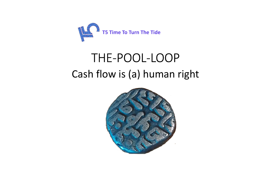

# THE-POOL-LOOPCash flow is (a) human right

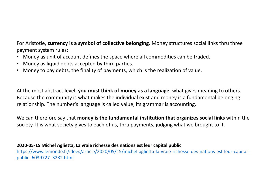For Aristotle, **currency is a symbol of collective belonging**. Money structures social links thru three payment system rules:

- •Money as unit of account defines the space where all commodities can be traded.
- •Money as liquid debts accepted by third parties.
- •Money to pay debts, the finality of payments, which is the realization of value.

At the most abstract level, **you must think of money as a language**: what gives meaning to others. Because the community is what makes the individual exist and money is a fundamental belonging relationship. The number's language is called value, its grammar is accounting.

We can therefore say that **money is the fundamental institution that organizes social links** within the society. It is what society gives to each of us, thru payments, judging what we brought to it.

## **2020-05-15 Michel Aglietta, La vraie richesse des nations est leur capital public**

 https://www.lemonde.fr/idees/article/2020/05/15/michel-aglietta-la-vraie-richesse-des-nations-est-leur-capitalpublic\_6039727\_3232.html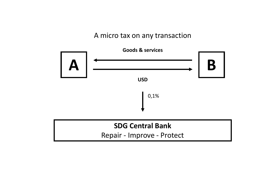# A micro tax on any transaction

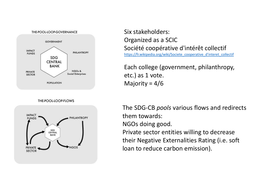

THE-POOL-LOOP-FLOWS



Six stakeholders:Organized as a SCIC Société coopérative d'intérêt collectif https://fr.wikipedia.org/wiki/Societe\_cooperative\_d'interet\_collectif

Each college (government, philanthropy, etc.) as 1 vote.Majority =  $4/6$ 

The SDG-CB *pools* various flows and redirects them towards:NGOs doing good.

Private sector entities willing to decrease their Negative Externalities Rating (i.e. soft loan to reduce carbon emission).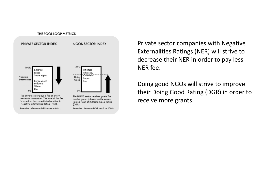

Private sector companies with Negative Externalities Ratings (NER) will strive to decrease their NER in order to pay less NER fee.

Doing good NGOs will strive to improve their Doing Good Rating (DGR) in order to receive more grants.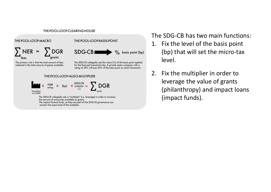### THE-POOL-LOOP-CLEARING-HOUSE



The SDG-CB has two main functions:

- 1. Fix the level of the basis point (bp) that will set the micro-tax level.
- 2. Fix the multiplier in order to leverage the value of grants (philanthropy) and impact loans (impact funds).